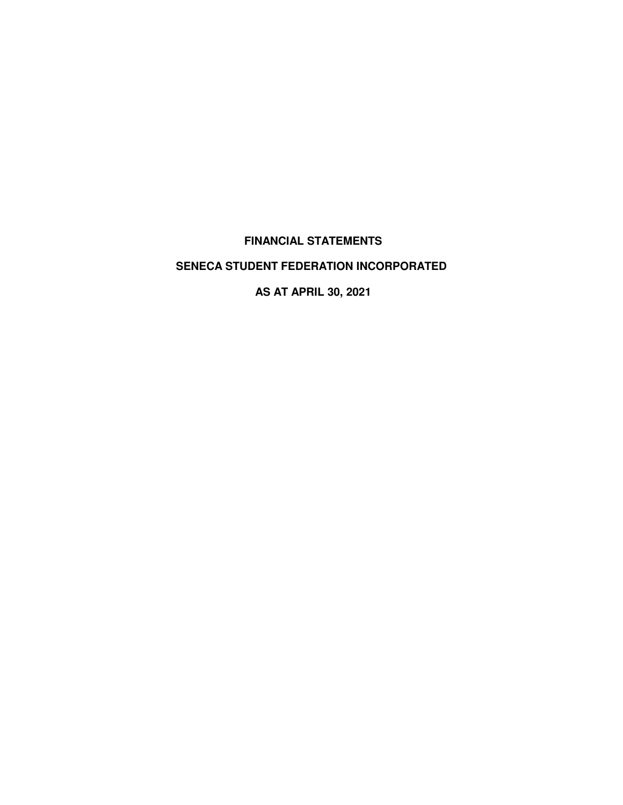# **FINANCIAL STATEMENTS**

# **SENECA STUDENT FEDERATION INCORPORATED**

**AS AT APRIL 30, 2021**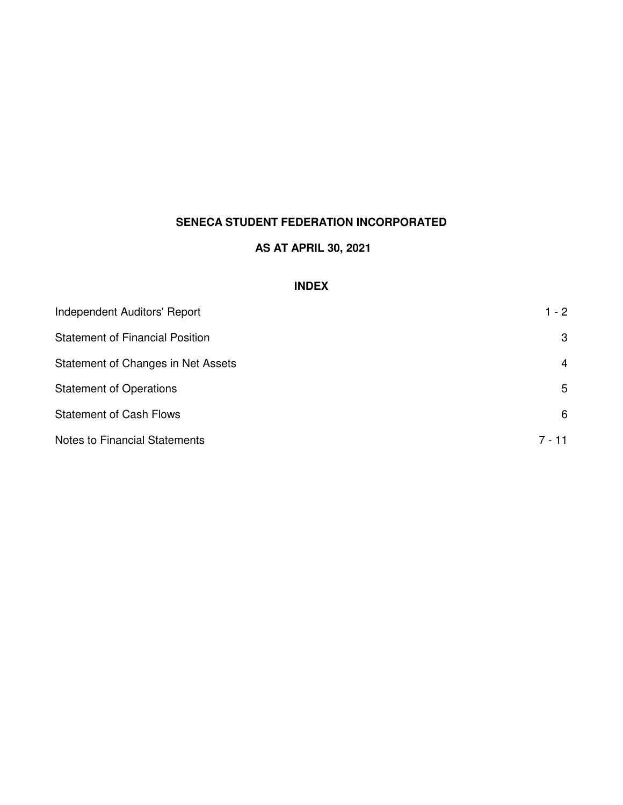# **AS AT APRIL 30, 2021**

# **INDEX**

| Independent Auditors' Report           | $1 - 2$        |
|----------------------------------------|----------------|
| <b>Statement of Financial Position</b> | 3              |
| Statement of Changes in Net Assets     | $\overline{4}$ |
| <b>Statement of Operations</b>         | 5              |
| <b>Statement of Cash Flows</b>         | 6              |
| <b>Notes to Financial Statements</b>   | 7 - 11         |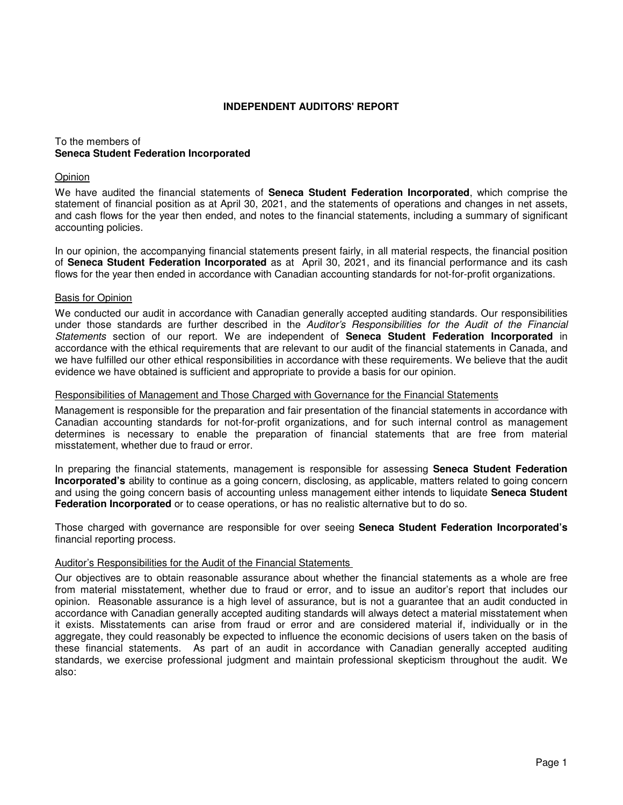#### **INDEPENDENT AUDITORS' REPORT**

#### To the members of **Seneca Student Federation Incorporated**

#### Opinion

We have audited the financial statements of **Seneca Student Federation Incorporated**, which comprise the statement of financial position as at April 30, 2021, and the statements of operations and changes in net assets, and cash flows for the year then ended, and notes to the financial statements, including a summary of significant accounting policies.

In our opinion, the accompanying financial statements present fairly, in all material respects, the financial position of **Seneca Student Federation Incorporated** as at April 30, 2021, and its financial performance and its cash flows for the year then ended in accordance with Canadian accounting standards for not-for-profit organizations.

#### Basis for Opinion

We conducted our audit in accordance with Canadian generally accepted auditing standards. Our responsibilities under those standards are further described in the Auditor's Responsibilities for the Audit of the Financial Statements section of our report. We are independent of **Seneca Student Federation Incorporated** in accordance with the ethical requirements that are relevant to our audit of the financial statements in Canada, and we have fulfilled our other ethical responsibilities in accordance with these requirements. We believe that the audit evidence we have obtained is sufficient and appropriate to provide a basis for our opinion.

#### Responsibilities of Management and Those Charged with Governance for the Financial Statements

Management is responsible for the preparation and fair presentation of the financial statements in accordance with Canadian accounting standards for not-for-profit organizations, and for such internal control as management determines is necessary to enable the preparation of financial statements that are free from material misstatement, whether due to fraud or error.

In preparing the financial statements, management is responsible for assessing **Seneca Student Federation Incorporated's** ability to continue as a going concern, disclosing, as applicable, matters related to going concern and using the going concern basis of accounting unless management either intends to liquidate **Seneca Student Federation Incorporated** or to cease operations, or has no realistic alternative but to do so.

Those charged with governance are responsible for over seeing **Seneca Student Federation Incorporated's** financial reporting process.

#### Auditor's Responsibilities for the Audit of the Financial Statements

Our objectives are to obtain reasonable assurance about whether the financial statements as a whole are free from material misstatement, whether due to fraud or error, and to issue an auditor's report that includes our opinion. Reasonable assurance is a high level of assurance, but is not a guarantee that an audit conducted in accordance with Canadian generally accepted auditing standards will always detect a material misstatement when it exists. Misstatements can arise from fraud or error and are considered material if, individually or in the aggregate, they could reasonably be expected to influence the economic decisions of users taken on the basis of these financial statements. As part of an audit in accordance with Canadian generally accepted auditing standards, we exercise professional judgment and maintain professional skepticism throughout the audit. We also: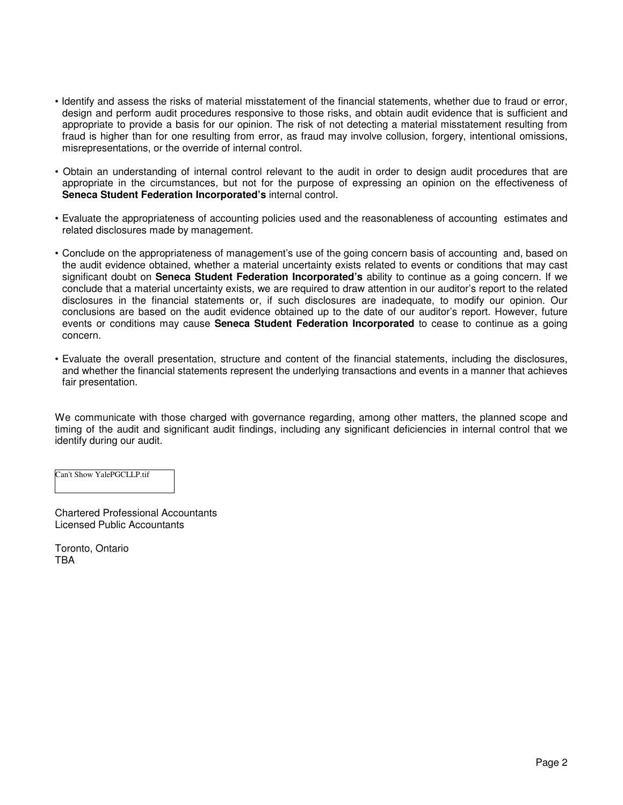- Identify and assess the risks of material misstatement of the financial statements, whether due to fraud or error, design and perform audit procedures responsive to those risks, and obtain audit evidence that is sufficient and appropriate to provide a basis for our opinion. The risk of not detecting a material misstatement resulting from fraud is higher than for one resulting from error, as fraud may involve collusion, forgery, intentional omissions, misrepresentations, or the override of internal control.
- Obtain an understanding of internal control relevant to the audit in order to design audit procedures that are appropriate in the circumstances, but not for the purpose of expressing an opinion on the effectiveness of **Seneca Student Federation Incorporated's** internal control.
- Evaluate the appropriateness of accounting policies used and the reasonableness of accounting estimates and related disclosures made by management.
- Conclude on the appropriateness of management's use of the going concern basis of accounting and, based on the audit evidence obtained, whether a material uncertainty exists related to events or conditions that may cast significant doubt on **Seneca Student Federation Incorporated's** ability to continue as a going concern. If we conclude that a material uncertainty exists, we are required to draw attention in our auditor's report to the related disclosures in the financial statements or, if such disclosures are inadequate, to modify our opinion. Our conclusions are based on the audit evidence obtained up to the date of our auditor's report. However, future events or conditions may cause **Seneca Student Federation Incorporated** to cease to continue as a going concern.
- Evaluate the overall presentation, structure and content of the financial statements, including the disclosures, and whether the financial statements represent the underlying transactions and events in a manner that achieves fair presentation.

We communicate with those charged with governance regarding, among other matters, the planned scope and timing of the audit and significant audit findings, including any significant deficiencies in internal control that we identify during our audit.

Can't Show YalePGCLLP.tif

Chartered Professional Accountants Licensed Public Accountants

Toronto, Ontario TBA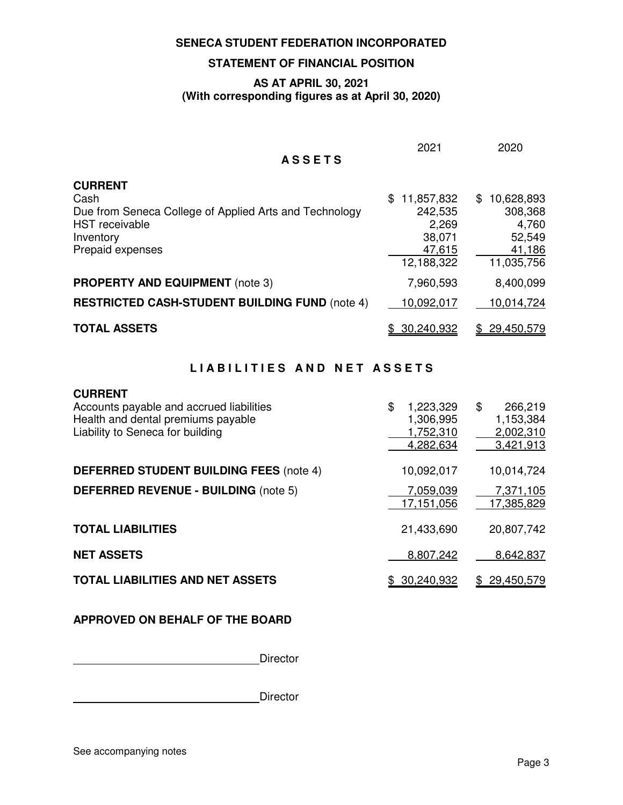# **STATEMENT OF FINANCIAL POSITION**

## **AS AT APRIL 30, 2021 (With corresponding figures as at April 30, 2020)**

|                                                        | 2021              | 2020              |
|--------------------------------------------------------|-------------------|-------------------|
| <b>ASSETS</b>                                          |                   |                   |
| <b>CURRENT</b><br>Cash                                 | 11,857,832<br>\$. | 10,628,893<br>\$. |
| Due from Seneca College of Applied Arts and Technology | 242,535           | 308,368           |
| <b>HST</b> receivable                                  | 2,269             | 4,760             |
| Inventory                                              | 38,071            | 52,549            |
| Prepaid expenses                                       | 47,615            | 41,186            |
|                                                        | 12,188,322        | 11,035,756        |
| <b>PROPERTY AND EQUIPMENT</b> (note 3)                 | 7,960,593         | 8,400,099         |
| <b>RESTRICTED CASH-STUDENT BUILDING FUND (note 4)</b>  | 10,092,017        | 10,014,724        |
| <b>TOTAL ASSETS</b>                                    | 30,240,932<br>S.  | 29,450,579<br>\$. |

# LIABILITIES AND NET ASSETS

## **CURRENT**

| Accounts payable and accrued liabilities<br>Health and dental premiums payable<br>Liability to Seneca for building | \$<br>1,223,329<br>1,306,995<br>1,752,310<br>4,282,634 | \$<br>266,219<br>1,153,384<br>2,002,310<br>3,421,913 |
|--------------------------------------------------------------------------------------------------------------------|--------------------------------------------------------|------------------------------------------------------|
| <b>DEFERRED STUDENT BUILDING FEES (note 4)</b>                                                                     | 10,092,017                                             | 10,014,724                                           |
| <b>DEFERRED REVENUE - BUILDING (note 5)</b>                                                                        | 7,059,039<br>17,151,056                                | <u>7,371,105</u><br><u>17,385,829</u>                |
| <b>TOTAL LIABILITIES</b>                                                                                           | 21,433,690                                             | 20,807,742                                           |
| <b>NET ASSETS</b>                                                                                                  | 8,807,242                                              | 8,642,837                                            |
| <b>TOTAL LIABILITIES AND NET ASSETS</b>                                                                            | 30,240,932                                             | 29,450,579                                           |

#### **APPROVED ON BEHALF OF THE BOARD**

**Director** 

Director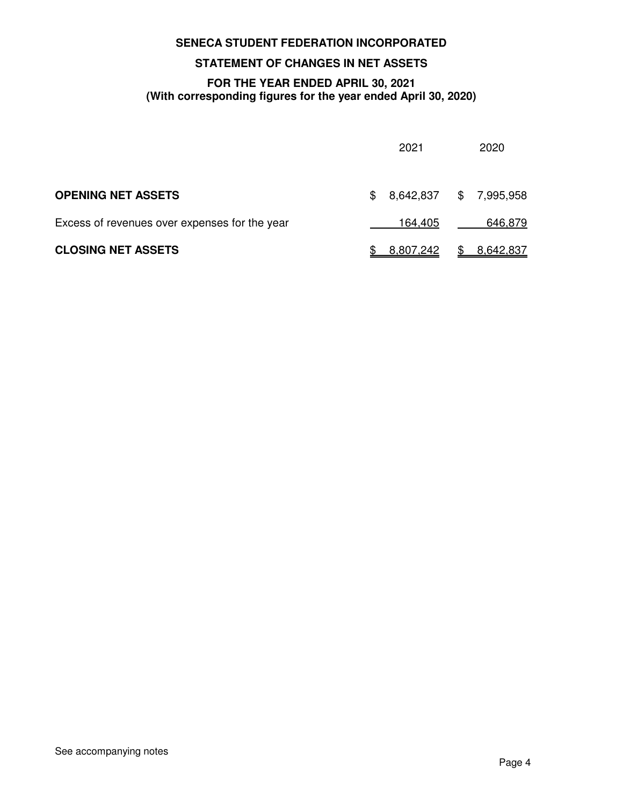# **STATEMENT OF CHANGES IN NET ASSETS**

## **FOR THE YEAR ENDED APRIL 30, 2021 (With corresponding figures for the year ended April 30, 2020)**

|                                               |     | 2021      | 2020                   |
|-----------------------------------------------|-----|-----------|------------------------|
| <b>OPENING NET ASSETS</b>                     | \$. | 8,642,837 | \$7,995,958            |
| Excess of revenues over expenses for the year |     | 164,405   | 646,879                |
| <b>CLOSING NET ASSETS</b>                     |     | 8,807,242 | \$<br><u>8,642,837</u> |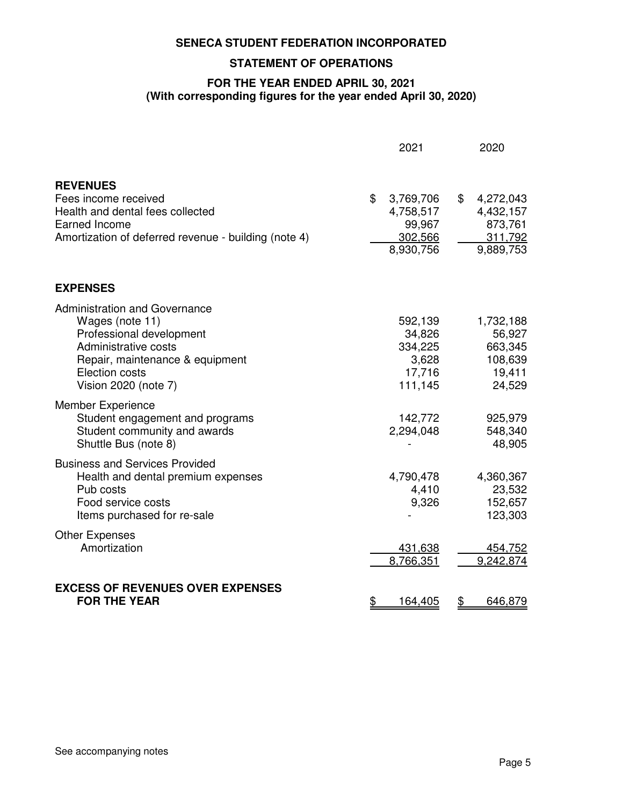# **STATEMENT OF OPERATIONS**

## **FOR THE YEAR ENDED APRIL 30, 2021 (With corresponding figures for the year ended April 30, 2020)**

|                                                                                                                                                                                                 | 2021                                                           | 2020                                                            |
|-------------------------------------------------------------------------------------------------------------------------------------------------------------------------------------------------|----------------------------------------------------------------|-----------------------------------------------------------------|
| <b>REVENUES</b><br>Fees income received<br>Health and dental fees collected<br><b>Earned Income</b><br>Amortization of deferred revenue - building (note 4)                                     | \$<br>3,769,706<br>4,758,517<br>99,967<br>302,566<br>8,930,756 | \$<br>4,272,043<br>4,432,157<br>873,761<br>311,792<br>9,889,753 |
| <b>EXPENSES</b>                                                                                                                                                                                 |                                                                |                                                                 |
| <b>Administration and Governance</b><br>Wages (note 11)<br>Professional development<br>Administrative costs<br>Repair, maintenance & equipment<br><b>Election costs</b><br>Vision 2020 (note 7) | 592,139<br>34,826<br>334,225<br>3,628<br>17,716<br>111,145     | 1,732,188<br>56,927<br>663,345<br>108,639<br>19,411<br>24,529   |
| Member Experience<br>Student engagement and programs<br>Student community and awards<br>Shuttle Bus (note 8)                                                                                    | 142,772<br>2,294,048                                           | 925,979<br>548,340<br>48,905                                    |
| <b>Business and Services Provided</b><br>Health and dental premium expenses<br>Pub costs<br>Food service costs<br>Items purchased for re-sale                                                   | 4,790,478<br>4,410<br>9,326                                    | 4,360,367<br>23,532<br>152,657<br>123,303                       |
| <b>Other Expenses</b><br>Amortization                                                                                                                                                           | 431,638<br>8,766,351                                           | 454,752<br>9,242,874                                            |
| <b>EXCESS OF REVENUES OVER EXPENSES</b><br><b>FOR THE YEAR</b>                                                                                                                                  | $\frac{1}{2}$<br>164,405                                       | \$<br>646,879                                                   |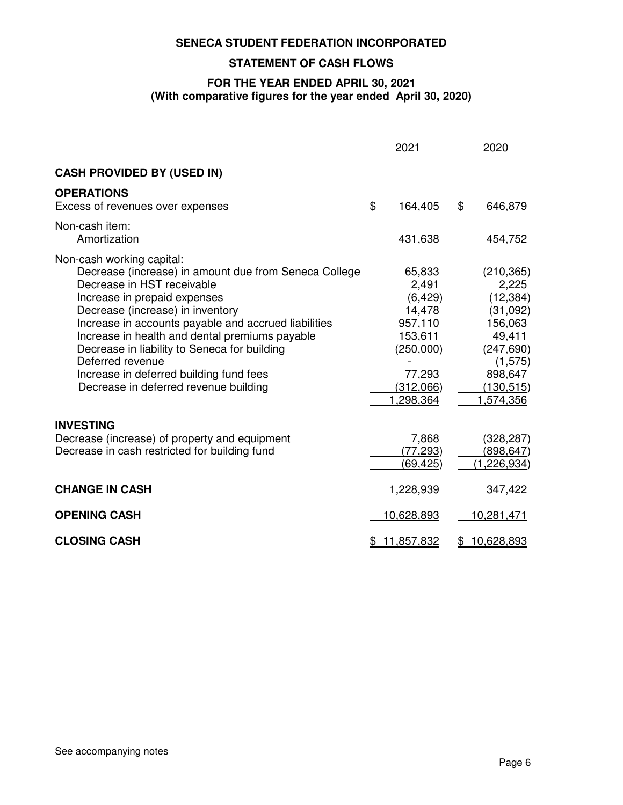## **STATEMENT OF CASH FLOWS**

## **FOR THE YEAR ENDED APRIL 30, 2021 (With comparative figures for the year ended April 30, 2020)**

|                                                                                                                                                                                                                                                                                                                                                                                                                                                        | 2021                                                                                                         | 2020                                                                                                                                     |
|--------------------------------------------------------------------------------------------------------------------------------------------------------------------------------------------------------------------------------------------------------------------------------------------------------------------------------------------------------------------------------------------------------------------------------------------------------|--------------------------------------------------------------------------------------------------------------|------------------------------------------------------------------------------------------------------------------------------------------|
| <b>CASH PROVIDED BY (USED IN)</b>                                                                                                                                                                                                                                                                                                                                                                                                                      |                                                                                                              |                                                                                                                                          |
| <b>OPERATIONS</b><br>Excess of revenues over expenses                                                                                                                                                                                                                                                                                                                                                                                                  | \$<br>164,405                                                                                                | \$<br>646,879                                                                                                                            |
| Non-cash item:<br>Amortization                                                                                                                                                                                                                                                                                                                                                                                                                         | 431,638                                                                                                      | 454,752                                                                                                                                  |
| Non-cash working capital:<br>Decrease (increase) in amount due from Seneca College<br>Decrease in HST receivable<br>Increase in prepaid expenses<br>Decrease (increase) in inventory<br>Increase in accounts payable and accrued liabilities<br>Increase in health and dental premiums payable<br>Decrease in liability to Seneca for building<br>Deferred revenue<br>Increase in deferred building fund fees<br>Decrease in deferred revenue building | 65,833<br>2,491<br>(6, 429)<br>14,478<br>957,110<br>153,611<br>(250,000)<br>77,293<br>(312,066)<br>1,298,364 | (210, 365)<br>2,225<br>(12, 384)<br>(31,092)<br>156,063<br>49,411<br>(247, 690)<br>(1, 575)<br>898,647<br>(130, 515)<br><u>1,574,356</u> |
| <b>INVESTING</b><br>Decrease (increase) of property and equipment<br>Decrease in cash restricted for building fund                                                                                                                                                                                                                                                                                                                                     | 7,868<br>(77, 293)<br>(6 <u>9,425</u> )                                                                      | (328, 287)<br>(898, 647)<br>(1, 226, 934)                                                                                                |
| <b>CHANGE IN CASH</b>                                                                                                                                                                                                                                                                                                                                                                                                                                  | 1,228,939                                                                                                    | 347,422                                                                                                                                  |
| <b>OPENING CASH</b>                                                                                                                                                                                                                                                                                                                                                                                                                                    | 10,628,893                                                                                                   | <u>10,281,471</u>                                                                                                                        |
| <b>CLOSING CASH</b>                                                                                                                                                                                                                                                                                                                                                                                                                                    | <u>\$11,857,832</u>                                                                                          | \$<br><u>10,628,893</u>                                                                                                                  |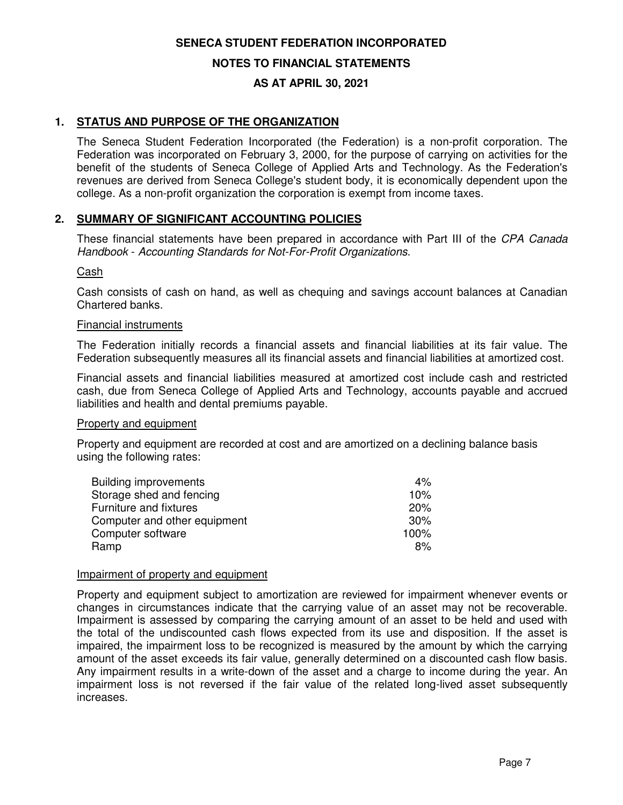## **NOTES TO FINANCIAL STATEMENTS**

## **AS AT APRIL 30, 2021**

## **1. STATUS AND PURPOSE OF THE ORGANIZATION**

The Seneca Student Federation Incorporated (the Federation) is a non-profit corporation. The Federation was incorporated on February 3, 2000, for the purpose of carrying on activities for the benefit of the students of Seneca College of Applied Arts and Technology. As the Federation's revenues are derived from Seneca College's student body, it is economically dependent upon the college. As a non-profit organization the corporation is exempt from income taxes.

## **2. SUMMARY OF SIGNIFICANT ACCOUNTING POLICIES**

These financial statements have been prepared in accordance with Part III of the CPA Canada Handbook - Accounting Standards for Not-For-Profit Organizations.

#### Cash

Cash consists of cash on hand, as well as chequing and savings account balances at Canadian Chartered banks.

#### Financial instruments

The Federation initially records a financial assets and financial liabilities at its fair value. The Federation subsequently measures all its financial assets and financial liabilities at amortized cost.

Financial assets and financial liabilities measured at amortized cost include cash and restricted cash, due from Seneca College of Applied Arts and Technology, accounts payable and accrued liabilities and health and dental premiums payable.

#### Property and equipment

Property and equipment are recorded at cost and are amortized on a declining balance basis using the following rates:

| <b>Building improvements</b> | 4%     |
|------------------------------|--------|
| Storage shed and fencing     | 10%    |
| Furniture and fixtures       | 20%    |
| Computer and other equipment | $30\%$ |
| Computer software            | 100%   |
| Ramp                         | 8%     |

#### Impairment of property and equipment

Property and equipment subject to amortization are reviewed for impairment whenever events or changes in circumstances indicate that the carrying value of an asset may not be recoverable. Impairment is assessed by comparing the carrying amount of an asset to be held and used with the total of the undiscounted cash flows expected from its use and disposition. If the asset is impaired, the impairment loss to be recognized is measured by the amount by which the carrying amount of the asset exceeds its fair value, generally determined on a discounted cash flow basis. Any impairment results in a write-down of the asset and a charge to income during the year. An impairment loss is not reversed if the fair value of the related long-lived asset subsequently increases.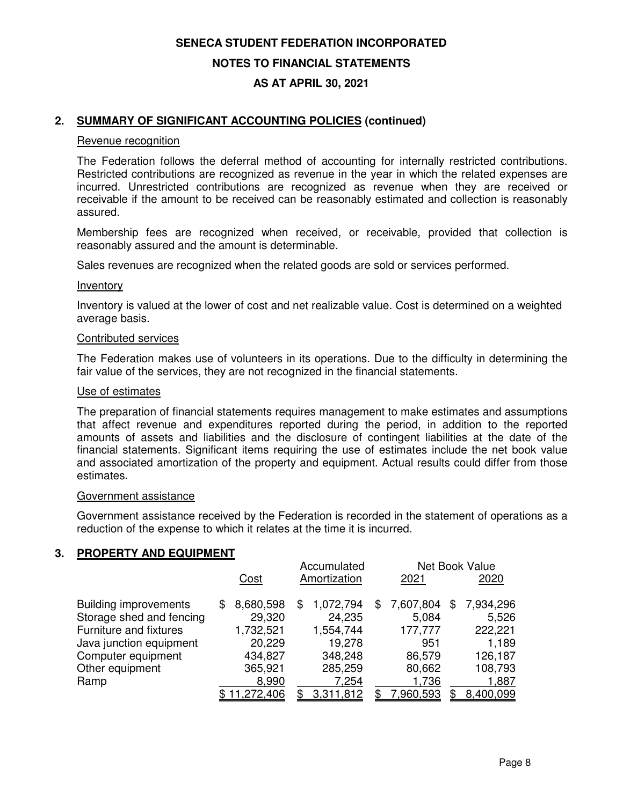**NOTES TO FINANCIAL STATEMENTS**

## **AS AT APRIL 30, 2021**

#### **2. SUMMARY OF SIGNIFICANT ACCOUNTING POLICIES (continued)**

#### Revenue recognition

The Federation follows the deferral method of accounting for internally restricted contributions. Restricted contributions are recognized as revenue in the year in which the related expenses are incurred. Unrestricted contributions are recognized as revenue when they are received or receivable if the amount to be received can be reasonably estimated and collection is reasonably assured.

Membership fees are recognized when received, or receivable, provided that collection is reasonably assured and the amount is determinable.

Sales revenues are recognized when the related goods are sold or services performed.

#### Inventory

Inventory is valued at the lower of cost and net realizable value. Cost is determined on a weighted average basis.

#### Contributed services

The Federation makes use of volunteers in its operations. Due to the difficulty in determining the fair value of the services, they are not recognized in the financial statements.

#### Use of estimates

The preparation of financial statements requires management to make estimates and assumptions that affect revenue and expenditures reported during the period, in addition to the reported amounts of assets and liabilities and the disclosure of contingent liabilities at the date of the financial statements. Significant items requiring the use of estimates include the net book value and associated amortization of the property and equipment. Actual results could differ from those estimates.

#### Government assistance

Government assistance received by the Federation is recorded in the statement of operations as a reduction of the expense to which it relates at the time it is incurred.

#### **3. PROPERTY AND EQUIPMENT**

|                              |                 | Accumulated     |     |           | Net Book Value  |
|------------------------------|-----------------|-----------------|-----|-----------|-----------------|
|                              | Cost            | Amortization    |     | 2021      | 2020            |
| <b>Building improvements</b> | \$<br>8,680,598 | \$<br>1,072,794 | \$. | 7,607,804 | \$<br>7,934,296 |
| Storage shed and fencing     | 29,320          | 24,235          |     | 5,084     | 5,526           |
| Furniture and fixtures       | 1,732,521       | 1,554,744       |     | 177,777   | 222,221         |
| Java junction equipment      | 20,229          | 19,278          |     | 951       | 1,189           |
| Computer equipment           | 434,827         | 348,248         |     | 86,579    | 126,187         |
| Other equipment              | 365,921         | 285,259         |     | 80,662    | 108,793         |
| Ramp                         | 8,990           | 7,254           |     | 1,736     | 1,887           |
|                              | 11,272,406      | 3,311,812       |     | 7,960,593 | 8,400,099       |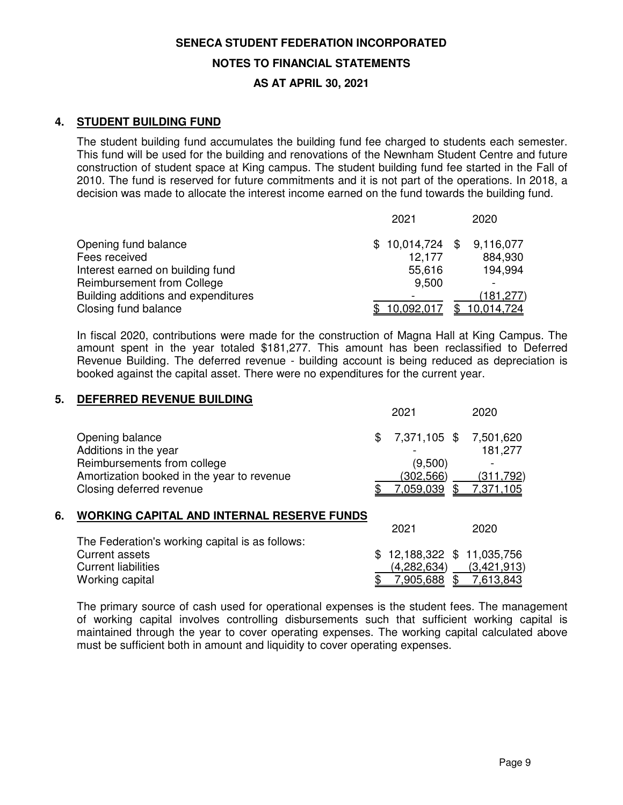# **SENECA STUDENT FEDERATION INCORPORATED NOTES TO FINANCIAL STATEMENTS**

## **AS AT APRIL 30, 2021**

## **4. STUDENT BUILDING FUND**

The student building fund accumulates the building fund fee charged to students each semester. This fund will be used for the building and renovations of the Newnham Student Centre and future construction of student space at King campus. The student building fund fee started in the Fall of 2010. The fund is reserved for future commitments and it is not part of the operations. In 2018, a decision was made to allocate the interest income earned on the fund towards the building fund.

|                                     | 2021                       | 2020       |
|-------------------------------------|----------------------------|------------|
| Opening fund balance                | $$10,014,724$ \$ 9,116,077 |            |
| Fees received                       | 12,177                     | 884,930    |
| Interest earned on building fund    | 55,616                     | 194,994    |
| Reimbursement from College          | 9,500                      |            |
| Building additions and expenditures |                            | (181,277)  |
| Closing fund balance                | 10,092,017                 | 10,014,724 |

In fiscal 2020, contributions were made for the construction of Magna Hall at King Campus. The amount spent in the year totaled \$181,277. This amount has been reclassified to Deferred Revenue Building. The deferred revenue - building account is being reduced as depreciation is booked against the capital asset. There were no expenditures for the current year.

2021 2020

## **5. DEFERRED REVENUE BUILDING**

|    |                                                   |     | 느냐느 !                    | ∟∪∟∪                              |
|----|---------------------------------------------------|-----|--------------------------|-----------------------------------|
|    | Opening balance<br>Additions in the year          | \$. |                          | 7,371,105 \$ 7,501,620<br>181,277 |
|    | Reimbursements from college                       |     | (9,500)                  |                                   |
|    | Amortization booked in the year to revenue        |     | <u>(302,566)</u>         | <u>(311,792)</u>                  |
|    | Closing deferred revenue                          |     | 7,059,039                | 7,371,105                         |
| 6. | <b>WORKING CAPITAL AND INTERNAL RESERVE FUNDS</b> |     |                          |                                   |
|    |                                                   |     | 2021                     | 2020                              |
|    | The Federation's working capital is as follows:   |     |                          |                                   |
|    | <b>Current assets</b>                             | \$. | 12,188,322 \$ 11,035,756 |                                   |
|    | <b>Current liabilities</b>                        |     | (4,282,634)              | (3,421,913)                       |
|    | Working capital                                   |     | 7,905,688                | 7,613,843                         |

The primary source of cash used for operational expenses is the student fees. The management of working capital involves controlling disbursements such that sufficient working capital is maintained through the year to cover operating expenses. The working capital calculated above must be sufficient both in amount and liquidity to cover operating expenses.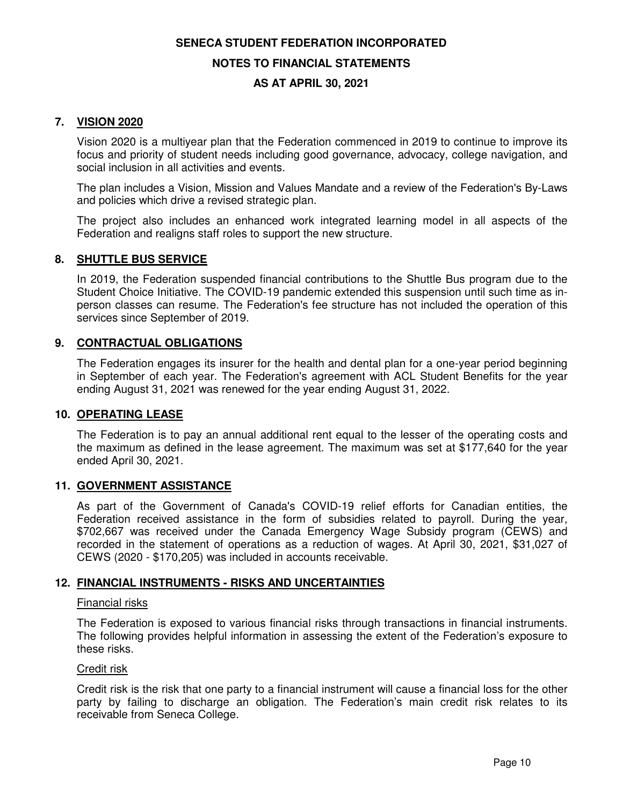## **NOTES TO FINANCIAL STATEMENTS**

## **AS AT APRIL 30, 2021**

#### **7. VISION 2020**

Vision 2020 is a multiyear plan that the Federation commenced in 2019 to continue to improve its focus and priority of student needs including good governance, advocacy, college navigation, and social inclusion in all activities and events.

The plan includes a Vision, Mission and Values Mandate and a review of the Federation's By-Laws and policies which drive a revised strategic plan.

The project also includes an enhanced work integrated learning model in all aspects of the Federation and realigns staff roles to support the new structure.

## **8. SHUTTLE BUS SERVICE**

In 2019, the Federation suspended financial contributions to the Shuttle Bus program due to the Student Choice Initiative. The COVID-19 pandemic extended this suspension until such time as inperson classes can resume. The Federation's fee structure has not included the operation of this services since September of 2019.

## **9. CONTRACTUAL OBLIGATIONS**

The Federation engages its insurer for the health and dental plan for a one-year period beginning in September of each year. The Federation's agreement with ACL Student Benefits for the year ending August 31, 2021 was renewed for the year ending August 31, 2022.

#### **10. OPERATING LEASE**

The Federation is to pay an annual additional rent equal to the lesser of the operating costs and the maximum as defined in the lease agreement. The maximum was set at \$177,640 for the year ended April 30, 2021.

#### **11. GOVERNMENT ASSISTANCE**

As part of the Government of Canada's COVID-19 relief efforts for Canadian entities, the Federation received assistance in the form of subsidies related to payroll. During the year, \$702,667 was received under the Canada Emergency Wage Subsidy program (CEWS) and recorded in the statement of operations as a reduction of wages. At April 30, 2021, \$31,027 of CEWS (2020 - \$170,205) was included in accounts receivable.

#### **12. FINANCIAL INSTRUMENTS - RISKS AND UNCERTAINTIES**

#### Financial risks

The Federation is exposed to various financial risks through transactions in financial instruments. The following provides helpful information in assessing the extent of the Federation's exposure to these risks.

#### Credit risk

Credit risk is the risk that one party to a financial instrument will cause a financial loss for the other party by failing to discharge an obligation. The Federation's main credit risk relates to its receivable from Seneca College.